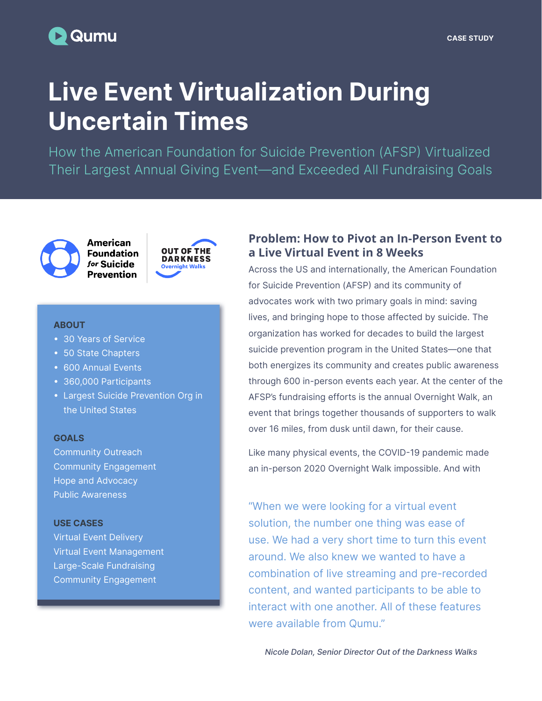# **D** Qumu

# Live Event Virtualization During Uncertain Times

How the American Foundation for Suicide Prevention (AFSP) Virtualized Their Largest Annual Giving Event—and Exceeded All Fundraising Goals



**American Foundation** for Suicide **Prevention** 



#### **ABOUT**

- 30 Years of Service
- 50 State Chapters
- 600 Annual Events
- 360,000 Participants
- Largest Suicide Prevention Org in the United States

#### **GOALS**

Community Outreach Community Engagement Hope and Advocacy Public Awareness

#### USE CASES

Virtual Event Delivery Virtual Event Management Large-Scale Fundraising Community Engagement

### **Problem: How to Pivot an In-Person Event to a Live Virtual Event in 8 Weeks**

Across the US and internationally, the American Foundation for Suicide Prevention (AFSP) and its community of advocates work with two primary goals in mind: saving lives, and bringing hope to those affected by suicide. The organization has worked for decades to build the largest suicide prevention program in the United States—one that both energizes its community and creates public awareness through 600 in-person events each year. At the center of the AFSP's fundraising efforts is the annual Overnight Walk, an event that brings together thousands of supporters to walk over 16 miles, from dusk until dawn, for their cause.

Like many physical events, the COVID-19 pandemic made an in-person 2020 Overnight Walk impossible. And with

"When we were looking for a virtual event solution, the number one thing was ease of use. We had a very short time to turn this event around. We also knew we wanted to have a combination of live streaming and pre-recorded content, and wanted participants to be able to interact with one another. All of these features were available from Qumu."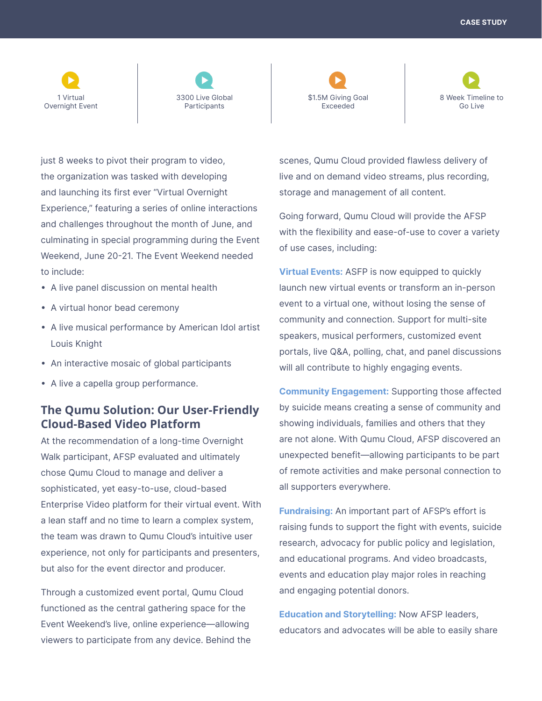CASE STUDY





\$1.5M Giving Goal Exceeded



just 8 weeks to pivot their program to video, the organization was tasked with developing and launching its first ever "Virtual Overnight Experience," featuring a series of online interactions and challenges throughout the month of June, and culminating in special programming during the Event Weekend, June 20-21. The Event Weekend needed to include:

- A live panel discussion on mental health
- A virtual honor bead ceremony
- A live musical performance by American Idol artist Louis Knight
- An interactive mosaic of global participants
- A live a capella group performance.

## **The Qumu Solution: Our User-Friendly Cloud-Based Video Platform**

At the recommendation of a long-time Overnight Walk participant, AFSP evaluated and ultimately chose Qumu Cloud to manage and deliver a sophisticated, yet easy-to-use, cloud-based Enterprise Video platform for their virtual event. With a lean staff and no time to learn a complex system, the team was drawn to Qumu Cloud's intuitive user experience, not only for participants and presenters, but also for the event director and producer.

Through a customized event portal, Qumu Cloud functioned as the central gathering space for the Event Weekend's live, online experience—allowing viewers to participate from any device. Behind the scenes, Qumu Cloud provided flawless delivery of live and on demand video streams, plus recording, storage and management of all content.

Going forward, Qumu Cloud will provide the AFSP with the flexibility and ease-of-use to cover a variety of use cases, including:

**Virtual Events: ASFP is now equipped to quickly** launch new virtual events or transform an in-person event to a virtual one, without losing the sense of community and connection. Support for multi-site speakers, musical performers, customized event portals, live Q&A, polling, chat, and panel discussions will all contribute to highly engaging events.

Community Engagement: Supporting those affected by suicide means creating a sense of community and showing individuals, families and others that they are not alone. With Qumu Cloud, AFSP discovered an unexpected benefit—allowing participants to be part of remote activities and make personal connection to all supporters everywhere.

Fundraising: An important part of AFSP's effort is raising funds to support the fight with events, suicide research, advocacy for public policy and legislation, and educational programs. And video broadcasts, events and education play major roles in reaching and engaging potential donors.

**Education and Storytelling: Now AFSP leaders,** educators and advocates will be able to easily share